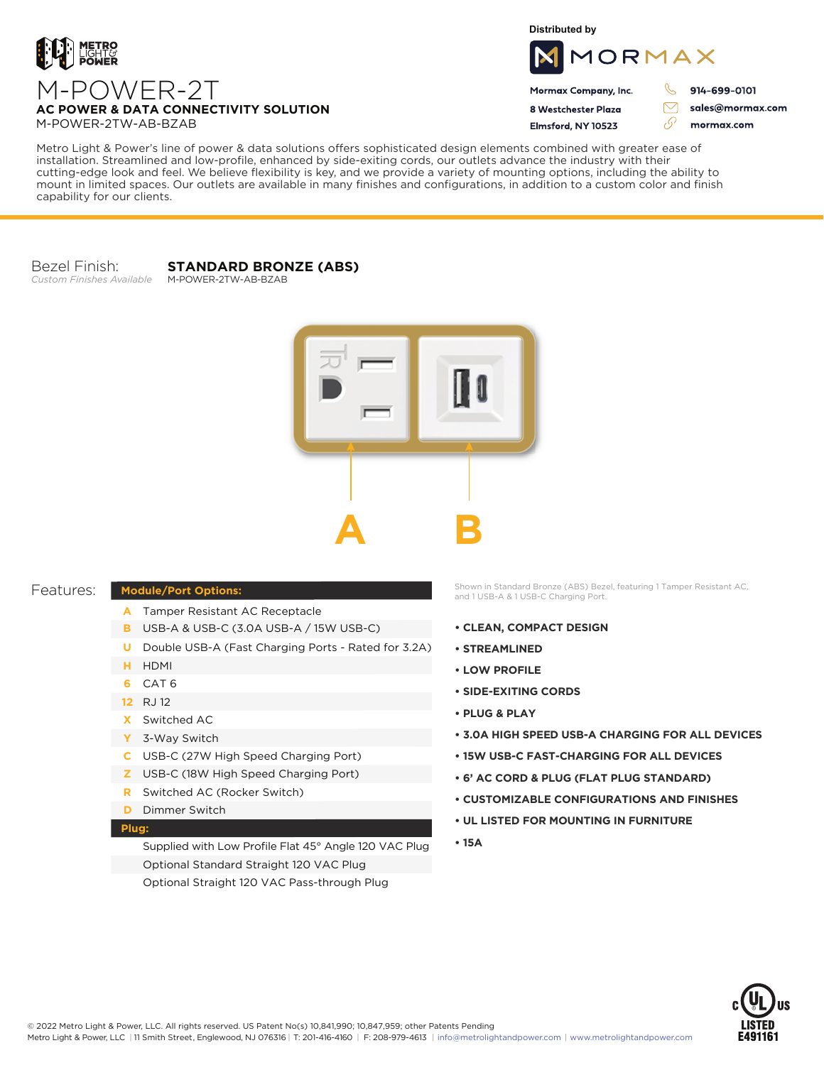

**Distributed by**



Mormax Company, Inc. 8 Westchester Plaza

Flmsford, NY 10523

914-699-0101

 $\triangledown$ 

76

sales@mormax.com mormax.com

**AC POWER & DATA CONNECTIVITY SOLUTION** M-POWER-2TW-AB-BZAB

Metro Light & Power's line of power & data solutions offers sophisticated design elements combined with greater ease of installation. Streamlined and low-profile, enhanced by side-exiting cords, our outlets advance the industry with their cutting-edge look and feel. We believe flexibility is key, and we provide a variety of mounting options, including the ability to mount in limited spaces. Our outlets are available in many finishes and configurations, in addition to a custom color and finish capability for our clients.

Bezel Finish: *Custom Finishes Available*

## **STANDARD BRONZE (ABS)**

M-POWER-2TW-AB-BZAB



| Features: |
|-----------|
|-----------|

## **Module/Port Options:**

- A Tamper Resistant AC Receptacle
- USB-A & USB-C (3.0A USB-A / 15W USB-C) **B**
- U Double USB-A (Fast Charging Ports Rated for 3.2A)
- HDMI **H**
- CAT 6 **6**
- 12 RJ 12
- Switched AC **X**
- 3-Way Switch **Y**
- USB-C (27W High Speed Charging Port) **C**
- USB-C (18W High Speed Charging Port) **Z**
- Switched AC (Rocker Switch) **R**
- **D** Dimmer Switch

## **Plug:**

Supplied with Low Profile Flat 45° Angle 120 VAC Plug Optional Standard Straight 120 VAC Plug Optional Straight 120 VAC Pass-through Plug

Shown in Standard Bronze (ABS) Bezel, featuring 1 Tamper Resistant AC, and 1 USB-A & 1 USB-C Charging Port.

- **CLEAN, COMPACT DESIGN**
- **STREAMLINED**
- **LOW PROFILE**
- **SIDE-EXITING CORDS**
- **PLUG & PLAY**
- **3.0A HIGH SPEED USB-A CHARGING FOR ALL DEVICES**
- **15W USB-C FAST-CHARGING FOR ALL DEVICES**
- **6' AC CORD & PLUG (FLAT PLUG STANDARD)**
- **CUSTOMIZABLE CONFIGURATIONS AND FINISHES**
- **UL LISTED FOR MOUNTING IN FURNITURE**
- **15A**